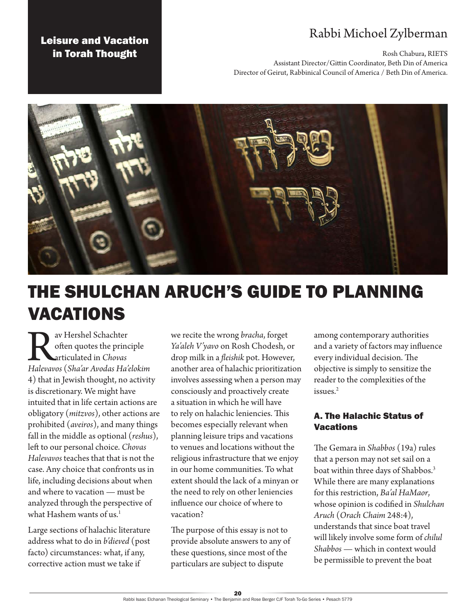# Rabbi Michoel Zylberman

Rosh Chabura, RIETS

Assistant Director/Gittin Coordinator, Beth Din of America Director of Geirut, Rabbinical Council of America / Beth Din of America.



# THE SHULCHAN ARUCH'S GUIDE TO PLANNING VACATIONS

Rav Hershel Schachter *Halevavos* (*Sha'ar Avodas Ha'elokim* often quotes the principle articulated in *Chovas*  4) that in Jewish thought, no activity is discretionary. We might have intuited that in life certain actions are obligatory (*mitzvos*), other actions are prohibited (*aveiros*), and many things fall in the middle as optional (*reshus*), left to our personal choice. *Chovas Halevavos* teaches that that is not the case. Any choice that confronts us in life, including decisions about when and where to vacation — must be analyzed through the perspective of what Hashem wants of us.<sup>1</sup>

Leisure and Vacation in Torah Thought

Large sections of halachic literature address what to do in *b'dieved* (post facto) circumstances: what, if any, corrective action must we take if

we recite the wrong *bracha*, forget *Ya'aleh V'yavo* on Rosh Chodesh, or drop milk in a *fleishik* pot. However, another area of halachic prioritization involves assessing when a person may consciously and proactively create a situation in which he will have to rely on halachic leniencies. This becomes especially relevant when planning leisure trips and vacations to venues and locations without the religious infrastructure that we enjoy in our home communities. To what extent should the lack of a minyan or the need to rely on other leniencies influence our choice of where to vacation?

The purpose of this essay is not to provide absolute answers to any of these questions, since most of the particulars are subject to dispute

among contemporary authorities and a variety of factors may influence every individual decision. The objective is simply to sensitize the reader to the complexities of the issues.2

## A. The Halachic Status of **Vacations**

The Gemara in *Shabbos* (19a) rules that a person may not set sail on a boat within three days of Shabbos.3 While there are many explanations for this restriction, *Ba'al HaMaor*, whose opinion is codified in *Shulchan Aruch* (*Orach Chaim* 248:4), understands that since boat travel will likely involve some form of *chilul Shabbos* — which in context would be permissible to prevent the boat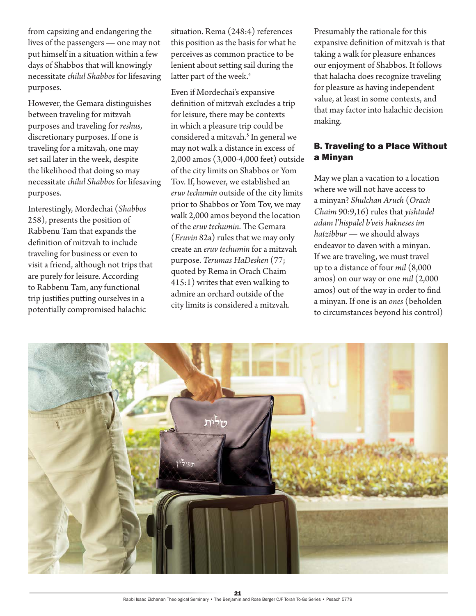from capsizing and endangering the lives of the passengers — one may not put himself in a situation within a few days of Shabbos that will knowingly necessitate *chilul Shabbos* for lifesaving purposes.

However, the Gemara distinguishes between traveling for mitzvah purposes and traveling for *reshus*, discretionary purposes. If one is traveling for a mitzvah, one may set sail later in the week, despite the likelihood that doing so may necessitate *chilul Shabbos* for lifesaving purposes.

Interestingly, Mordechai (*Shabbos* 258), presents the position of Rabbenu Tam that expands the definition of mitzvah to include traveling for business or even to visit a friend, although not trips that are purely for leisure. According to Rabbenu Tam, any functional trip justifies putting ourselves in a potentially compromised halachic

situation. Rema (248:4) references this position as the basis for what he perceives as common practice to be lenient about setting sail during the latter part of the week.<sup>4</sup>

Even if Mordechai's expansive definition of mitzvah excludes a trip for leisure, there may be contexts in which a pleasure trip could be considered a mitzvah.<sup>5</sup> In general we may not walk a distance in excess of 2,000 amos (3,000-4,000 feet) outside of the city limits on Shabbos or Yom Tov. If, however, we established an *eruv techumin* outside of the city limits prior to Shabbos or Yom Tov, we may walk 2,000 amos beyond the location of the *eruv techumin*. The Gemara (*Eruvin* 82a) rules that we may only create an *eruv techumin* for a mitzvah purpose. *Terumas HaDeshen* (77; quoted by Rema in Orach Chaim 415:1) writes that even walking to admire an orchard outside of the city limits is considered a mitzvah.

Presumably the rationale for this expansive definition of mitzvah is that taking a walk for pleasure enhances our enjoyment of Shabbos. It follows that halacha does recognize traveling for pleasure as having independent value, at least in some contexts, and that may factor into halachic decision making.

# B. Traveling to a Place Without a Minyan

May we plan a vacation to a location where we will not have access to a minyan? *Shulchan Aruch* (*Orach Chaim* 90:9,16) rules that *yishtadel adam l'hispalel b'veis hakneses im hatzibbur* — we should always endeavor to daven with a minyan. If we are traveling, we must travel up to a distance of four *mil* (8,000 amos) on our way or one *mil* (2,000 amos) out of the way in order to find a minyan. If one is an *ones* (beholden to circumstances beyond his control)

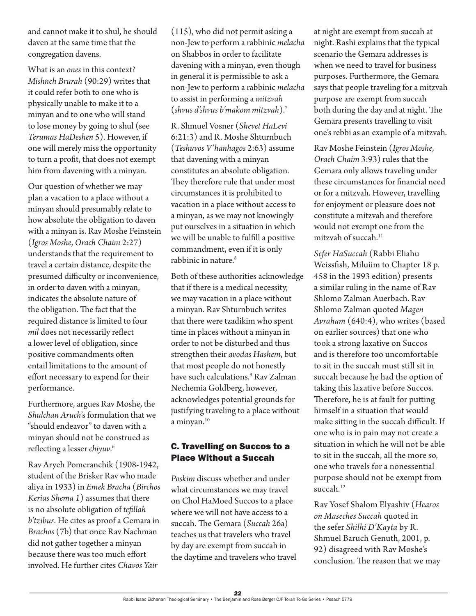and cannot make it to shul, he should daven at the same time that the congregation davens.

What is an *ones* in this context? *Mishneh Brurah* (90:29) writes that it could refer both to one who is physically unable to make it to a minyan and to one who will stand to lose money by going to shul (see *Terumas HaDeshen* 5). However, if one will merely miss the opportunity to turn a profit, that does not exempt him from davening with a minyan.

Our question of whether we may plan a vacation to a place without a minyan should presumably relate to how absolute the obligation to daven with a minyan is. Rav Moshe Feinstein (*Igros Moshe*, *Orach Chaim* 2:27) understands that the requirement to travel a certain distance, despite the presumed difficulty or inconvenience, in order to daven with a minyan, indicates the absolute nature of the obligation. The fact that the required distance is limited to four *mil* does not necessarily reflect a lower level of obligation, since positive commandments often entail limitations to the amount of effort necessary to expend for their performance.

Furthermore, argues Rav Moshe, the *Shulchan Aruch*'s formulation that we "should endeavor" to daven with a minyan should not be construed as reflecting a lesser *chiyuv*. 6

Rav Aryeh Pomeranchik (1908-1942, student of the Brisker Rav who made aliya in 1933) in *Emek Bracha* (*Birchos Kerias Shema 1*) assumes that there is no absolute obligation of *tefillah b'tzibur*. He cites as proof a Gemara in *Brachos* (7b) that once Rav Nachman did not gather together a minyan because there was too much effort involved. He further cites *Chavos Yair*

(115), who did not permit asking a non-Jew to perform a rabbinic *melacha* on Shabbos in order to facilitate davening with a minyan, even though in general it is permissible to ask a non-Jew to perform a rabbinic *melacha* to assist in performing a *mitzvah* (*shvus d'shvus b'makom mitzvah*).7

R. Shmuel Vosner (*Shevet HaLevi* 6:21:3) and R. Moshe Shturnbuch (*Teshuvos V'hanhagos* 2:63) assume that davening with a minyan constitutes an absolute obligation. They therefore rule that under most circumstances it is prohibited to vacation in a place without access to a minyan, as we may not knowingly put ourselves in a situation in which we will be unable to fulfill a positive commandment, even if it is only rabbinic in nature.<sup>8</sup>

Both of these authorities acknowledge that if there is a medical necessity, we may vacation in a place without a minyan. Rav Shturnbuch writes that there were tzadikim who spent time in places without a minyan in order to not be disturbed and thus strengthen their *avodas Hashem*, but that most people do not honestly have such calculations.9 Rav Zalman Nechemia Goldberg, however, acknowledges potential grounds for justifying traveling to a place without a minyan.<sup>10</sup>

#### C. Travelling on Succos to a Place Without a Succah

*Poskim* discuss whether and under what circumstances we may travel on Chol HaMoed Succos to a place where we will not have access to a succah. The Gemara (*Succah* 26a) teaches us that travelers who travel by day are exempt from succah in the daytime and travelers who travel at night are exempt from succah at night. Rashi explains that the typical scenario the Gemara addresses is when we need to travel for business purposes. Furthermore, the Gemara says that people traveling for a mitzvah purpose are exempt from succah both during the day and at night. The Gemara presents travelling to visit one's rebbi as an example of a mitzvah.

Rav Moshe Feinstein (*Igros Moshe*, *Orach Chaim* 3:93) rules that the Gemara only allows traveling under these circumstances for financial need or for a mitzvah. However, travelling for enjoyment or pleasure does not constitute a mitzvah and therefore would not exempt one from the mitzvah of succah.<sup>11</sup>

*Sefer HaSuccah* (Rabbi Eliahu Weissfish, Miluiim to Chapter 18 p. 458 in the 1993 edition) presents a similar ruling in the name of Rav Shlomo Zalman Auerbach. Rav Shlomo Zalman quoted *Magen Avraham* (640:4), who writes (based on earlier sources) that one who took a strong laxative on Succos and is therefore too uncomfortable to sit in the succah must still sit in succah because he had the option of taking this laxative before Succos. Therefore, he is at fault for putting himself in a situation that would make sitting in the succah difficult. If one who is in pain may not create a situation in which he will not be able to sit in the succah, all the more so, one who travels for a nonessential purpose should not be exempt from succah.<sup>12</sup>

Rav Yosef Shalom Elyashiv (*Hearos on Maseches Succah* quoted in the sefer *Shilhi D'Kayta* by R. Shmuel Baruch Genuth, 2001, p. 92) disagreed with Rav Moshe's conclusion. The reason that we may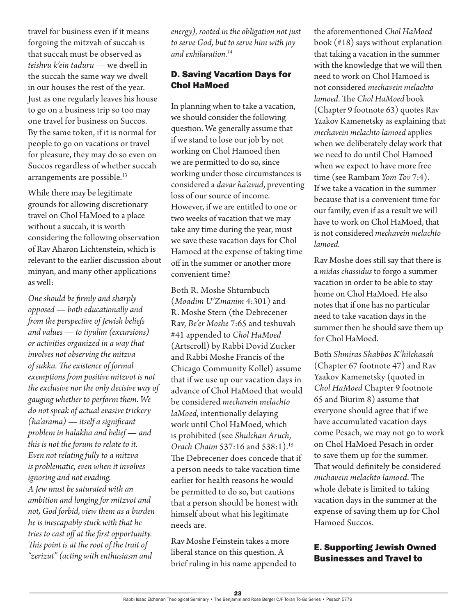travel for business even if it means forgoing the mitzvah of succah is that succah must be observed as *teishvu k'ein taduru* — we dwell in the succah the same way we dwell in our houses the rest of the year. Just as one regularly leaves his house to go on a business trip so too may one travel for business on Succos. By the same token, if it is normal for people to go on vacations or travel for pleasure, they may do so even on Succos regardless of whether succah arrangements are possible.<sup>13</sup>

While there may be legitimate grounds for allowing discretionary travel on Chol HaMoed to a place without a succah, it is worth considering the following observation of Rav Aharon Lichtenstein, which is relevant to the earlier discussion about minyan, and many other applications as well:

*One should be firmly and sharply opposed — both educationally and from the perspective of Jewish beliefs and values — to tiyulim (excursions) or activities organized in a way that involves not observing the mitzva of sukka. The existence of formal exemptions from positive mitzvot is not the exclusive nor the only decisive way of gauging whether to perform them. We do not speak of actual evasive trickery (ha'arama) — itself a significant problem in halakha and belief — and this is not the forum to relate to it. Even not relating fully to a mitzva is problematic, even when it involves ignoring and not evading. A Jew must be saturated with an ambition and longing for mitzvot and not, God forbid, view them as a burden he is inescapably stuck with that he tries to cast off at the first opportunity. This point is at the root of the trait of "zerizut" (acting with enthusiasm and* 

*energy), rooted in the obligation not just to serve God, but to serve him with joy and exhilaration.14*

# D. Saving Vacation Days for Chol HaMoed

In planning when to take a vacation, we should consider the following question. We generally assume that if we stand to lose our job by not working on Chol Hamoed then we are permitted to do so, since working under those circumstances is considered a *davar ha'avud*, preventing loss of our source of income. However, if we are entitled to one or two weeks of vacation that we may take any time during the year, must we save these vacation days for Chol Hamoed at the expense of taking time off in the summer or another more convenient time?

Both R. Moshe Shturnbuch (*Moadim U'Zmanim* 4:301) and R. Moshe Stern (the Debrecener Rav, *Be'er Moshe* 7:65 and teshuvah #41 appended to *Chol HaMoed* (Artscroll) by Rabbi Dovid Zucker and Rabbi Moshe Francis of the Chicago Community Kollel) assume that if we use up our vacation days in advance of Chol HaMoed that would be considered *mechavein melachto laMoed*, intentionally delaying work until Chol HaMoed, which is prohibited (see *Shulchan Aruch*, *Orach Chaim* 537:16 and 538:1).15 The Debrecener does concede that if a person needs to take vacation time earlier for health reasons he would be permitted to do so, but cautions that a person should be honest with himself about what his legitimate needs are.

Rav Moshe Feinstein takes a more liberal stance on this question. A brief ruling in his name appended to the aforementioned *Chol HaMoed* book (#18) says without explanation that taking a vacation in the summer with the knowledge that we will then need to work on Chol Hamoed is not considered *mechavein melachto lamoed*. The *Chol HaMoed* book (Chapter 9 footnote 63) quotes Rav Yaakov Kamenetsky as explaining that *mechavein melachto lamoed* applies when we deliberately delay work that we need to do until Chol Hamoed when we expect to have more free time (see Rambam *Yom Tov* 7:4). If we take a vacation in the summer because that is a convenient time for our family, even if as a result we will have to work on Chol HaMoed, that is not considered *mechavein melachto lamoed.*

Rav Moshe does still say that there is a *midas chassidus* to forgo a summer vacation in order to be able to stay home on Chol HaMoed. He also notes that if one has no particular need to take vacation days in the summer then he should save them up for Chol HaMoed.

Both *Shmiras Shabbos K'hilchasah* (Chapter 67 footnote 47) and Rav Yaakov Kamenetsky (quoted in *Chol HaMoed* Chapter 9 footnote 65 and Biurim 8) assume that everyone should agree that if we have accumulated vacation days come Pesach, we may not go to work on Chol HaMoed Pesach in order to save them up for the summer. That would definitely be considered *michavein melachto lamoed*. The whole debate is limited to taking vacation days in the summer at the expense of saving them up for Chol Hamoed Succos.

## E. Supporting Jewish Owned Businesses and Travel to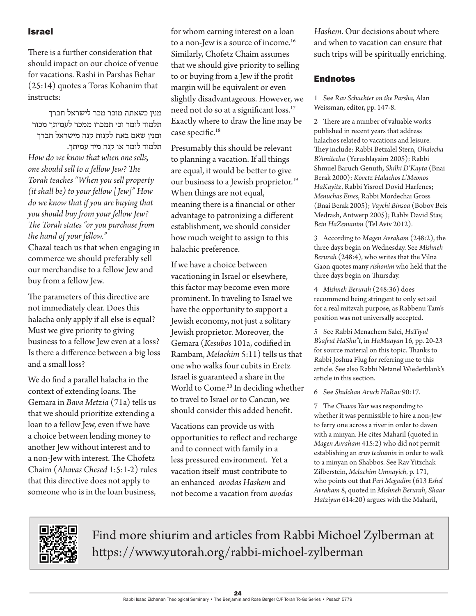#### Israel

There is a further consideration that should impact on our choice of venue for vacations. Rashi in Parshas Behar (25:14) quotes a Toras Kohanim that instructs:

מנין כשאתה מוכר מכר לישראל חברך תלמוד לומר וכי תמכרו ממכר לעמיתך מכור ומנין שאם באת לקנות קנה מישראל חברך תלמוד לומר או קנה מיד עמיתך. *How do we know that when one sells, one should sell to a fellow Jew? The Torah teaches "When you sell property (it shall be) to your fellow [Jew]" How do we know that if you are buying that you should buy from your fellow Jew? The Torah states "or you purchase from the hand of your fellow."* Chazal teach us that when engaging in commerce we should preferably sell our merchandise to a fellow Jew and buy from a fellow Jew.

The parameters of this directive are not immediately clear. Does this halacha only apply if all else is equal? Must we give priority to giving business to a fellow Jew even at a loss? Is there a difference between a big loss and a small loss?

We do find a parallel halacha in the context of extending loans. The Gemara in *Bava Metzia* (71a) tells us that we should prioritize extending a loan to a fellow Jew, even if we have a choice between lending money to another Jew without interest and to a non-Jew with interest. The Chofetz Chaim (*Ahavas Chesed* 1:5:1-2) rules that this directive does not apply to someone who is in the loan business,

for whom earning interest on a loan to a non-Jew is a source of income.<sup>16</sup> Similarly, Chofetz Chaim assumes that we should give priority to selling to or buying from a Jew if the profit margin will be equivalent or even slightly disadvantageous. However, we need not do so at a significant loss.17 Exactly where to draw the line may be case specific.<sup>18</sup>

Presumably this should be relevant to planning a vacation. If all things are equal, it would be better to give our business to a Jewish proprietor.<sup>19</sup> When things are not equal, meaning there is a financial or other advantage to patronizing a different establishment, we should consider how much weight to assign to this halachic preference.

If we have a choice between vacationing in Israel or elsewhere, this factor may become even more prominent. In traveling to Israel we have the opportunity to support a Jewish economy, not just a solitary Jewish proprietor. Moreover, the Gemara (*Kesubos* 101a, codified in Rambam, *Melachim* 5:11) tells us that one who walks four cubits in Eretz Israel is guaranteed a share in the World to Come.<sup>20</sup> In deciding whether to travel to Israel or to Cancun, we should consider this added benefit.

Vacations can provide us with opportunities to reflect and recharge and to connect with family in a less pressured environment. Yet a vacation itself must contribute to an enhanced *avodas Hashem* and not become a vacation from *avodas* 

*Hashem*. Our decisions about where and when to vacation can ensure that such trips will be spiritually enriching.

#### **Endnotes**

1 See *Rav Schachter on the Parsha*, Alan Weissman, editor, pp. 147-8.

2 There are a number of valuable works published in recent years that address halachos related to vacations and leisure. They include: Rabbi Betzalel Stern, *Ohalecha B'Amitecha* (Yerushlayaim 2005); Rabbi Shmuel Baruch Genuth, *Shilhi D'Kayta* (Bnai Berak 2000); *Kovetz Halachos L'Meonos HaKayitz*, Rabbi Yisroel Dovid Harfenes; *Menuchas Emes*, Rabbi Mordechai Gross (Bnai Berak 2005); *Vayehi Binsoa* (Bobov Beis Medrash, Antwerp 2005); Rabbi David Stav, *Bein HaZemanim* (Tel Aviv 2012).

3 According to *Magen Avraham* (248:2), the three days begin on Wednesday. See *Mishneh Berurah* (248:4), who writes that the Vilna Gaon quotes many *rishonim* who held that the three days begin on Thursday.

4 *Mishneh Berurah* (248:36) does recommend being stringent to only set sail for a real mitzvah purpose, as Rabbenu Tam's position was not universally accepted.

5 See Rabbi Menachem Salei, *HaTiyul B'safrut HaShu"t*, in *HaMaayan* 16, pp. 20-23 for source material on this topic. Thanks to Rabbi Joshua Flug for referring me to this article. See also Rabbi Netanel Wiederblank's article in this section.

6 See *Shulchan Aruch HaRav* 90:17.

7 The *Chavos Yair* was responding to whether it was permissible to hire a non-Jew to ferry one across a river in order to daven with a minyan. He cites Maharil (quoted in *Magen Avraham* 415:2) who did not permit establishing an *eruv techumin* in order to walk to a minyan on Shabbos. See Rav Yitzchak Zilberstein, *Melachim Umnayich*, p. 171, who points out that *Peri Megadim* (613 *Eshel Avraham* 8, quoted in *Mishneh Berurah*, *Shaar Hatziyun* 614:20) argues with the Maharil,



Find more shiurim and articles from Rabbi Michoel Zylberman at https://www.yutorah.org/rabbi-michoel-zylberman